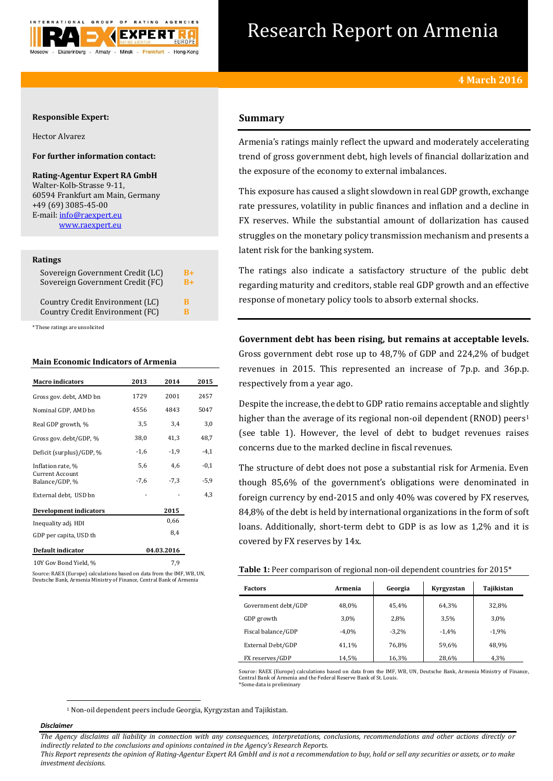

# Research Report on Armenia

## **Responsible Expert:**

Hector Alvarez

## **For further information contact:**

**Rating-Agentur Expert RA GmbH** Walter-Kolb-Strasse 9-11, 60594 Frankfurt am Main, Germany +49 (69) 3085-45-00 E-mail[: info@raexpert.eu](mailto:info@raexpert.eu) [www.raexpert.eu](http://raexpert.eu/)

## **Ratings**

| Sovereign Government Credit (LC) | R+   |
|----------------------------------|------|
| Sovereign Government Credit (FC) | $R+$ |
| Country Credit Environment (LC)  | R    |
| Country Credit Environment (FC)  | R    |

\* These ratings are unsolicited

## **Main Economic Indicators of Armenia**

| <b>Macro indicators</b>                  | 2013   | 2014       | 2015   |
|------------------------------------------|--------|------------|--------|
| Gross gov. debt, AMD bn                  | 1729   | 2001       | 2457   |
| Nominal GDP, AMD bn                      | 4556   | 4843       | 5047   |
| Real GDP growth, %                       | 3,5    | 3,4        | 3,0    |
| Gross gov. debt/GDP, %                   | 38,0   | 41,3       | 48,7   |
| Deficit (surplus)/GDP, %                 | $-1,6$ | $-1,9$     | $-4,1$ |
| Inflation rate, %                        | 5,6    | 4,6        | $-0,1$ |
| <b>Current Account</b><br>Balance/GDP, % | $-7,6$ | $-7,3$     | $-5,9$ |
| External debt, USD bn                    |        |            | 4,3    |
| <b>Development indicators</b>            |        | 2015       |        |
| Inequality adj. HDI                      |        | 0,66       |        |
| GDP per capita, USD th                   |        | 8,4        |        |
| <b>Default indicator</b>                 |        | 04.03.2016 |        |
| 10Y Gov Bond Yield, %                    | 7.9    |            |        |

Source: RAEX (Europe) calculations based on data from the IMF, WB, UN, Deutsche Bank, Armenia Ministry of Finance, Central Bank of Armenia

## **Summary**

Armenia's ratings mainly reflect the upward and moderately accelerating trend of gross government debt, high levels of financial dollarization and the exposure of the economy to external imbalances.

This exposure has caused a slight slowdown in real GDP growth, exchange rate pressures, volatility in public finances and inflation and a decline in FX reserves. While the substantial amount of dollarization has caused struggles on the monetary policy transmission mechanism and presents a latent risk for the banking system.

The ratings also indicate a satisfactory structure of the public debt regarding maturity and creditors, stable real GDP growth and an effective response of monetary policy tools to absorb external shocks.

**Government debt has been rising, but remains at acceptable levels.**  Gross government debt rose up to 48,7% of GDP and 224,2% of budget revenues in 2015. This represented an increase of 7p.p. and 36p.p. respectively from a year ago.

Despite the increase, the debt to GDP ratio remains acceptable and slightly higher than the average of its regional non-oil dependent (RNOD) peers<sup>1</sup> (see table 1). However, the level of debt to budget revenues raises concerns due to the marked decline in fiscal revenues.

The structure of debt does not pose a substantial risk for Armenia. Even though 85,6% of the government's obligations were denominated in foreign currency by end-2015 and only 40% was covered by FX reserves, 84,8% of the debt is held by international organizations in the form of soft loans. Additionally, short-term debt to GDP is as low as 1,2% and it is covered by FX reserves by 14x.

**Table 1:** Peer comparison of regional non-oil dependent countries for 2015\*

| <b>Factors</b>      | Armenia | Georgia | Kyrgyzstan | Tajikistan |
|---------------------|---------|---------|------------|------------|
| Government debt/GDP | 48,0%   | 45,4%   | 64,3%      | 32,8%      |
| GDP growth          | 3,0%    | 2,8%    | 3,5%       | 3,0%       |
| Fiscal balance/GDP  | $-4.0%$ | $-3,2%$ | $-1,4%$    | $-1,9%$    |
| External Debt/GDP   | 41,1%   | 76,8%   | 59,6%      | 48.9%      |
| FX reserves/GDP     | 14,5%   | 16,3%   | 28,6%      | 4,3%       |

Source: RAEX (Europe) calculations based on data from the IMF, WB, UN, Deutsche Bank, Armenia Ministry of Finance, Central Bank of Armenia and the Federal Reserve Bank of St. Louis. \*Some data is preliminary

<sup>1</sup> Non-oil dependent peers include Georgia, Kyrgyzstan and Tajikistan.

## *Disclaimer*

1

*The Agency disclaims all liability in connection with any consequences, interpretations, conclusions, recommendations and other actions directly or indirectly related to the conclusions and opinions contained in the Agency's Research Reports.*

*This Report represents the opinion of Rating-Agentur Expert RA GmbH and is not a recommendation to buy, hold or sell any securities or assets, or to make investment decisions.*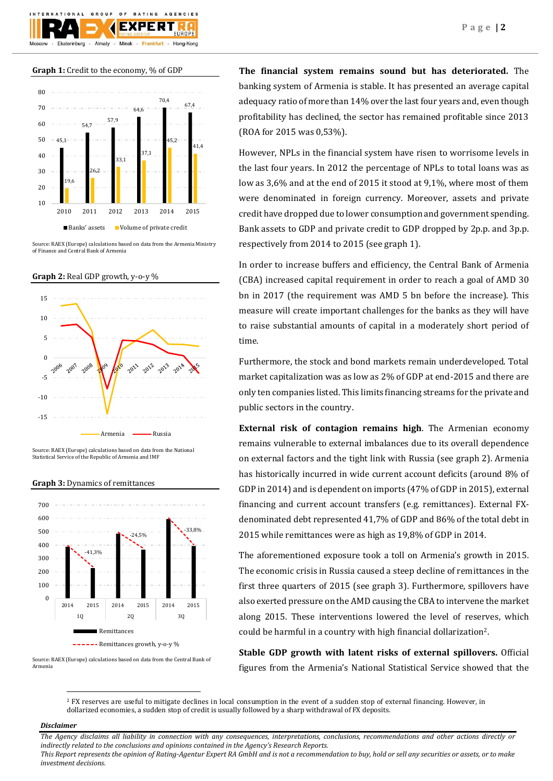





Source: RAEX (Europe) calculations based on data from the Armenia Ministry of Finance and Central Bank of Armenia





Source: RAEX (Europe) calculations based on data from the National Statistical Service of the Republic of Armenia and IMF





Source: RAEX (Europe) calculations based on data from the Central Bank of Armenia

**The financial system remains sound but has deteriorated.** The banking system of Armenia is stable. It has presented an average capital adequacy ratio of more than 14% over the last four years and, even though profitability has declined, the sector has remained profitable since 2013 (ROA for 2015 was 0,53%).

However, NPLs in the financial system have risen to worrisome levels in the last four years. In 2012 the percentage of NPLs to total loans was as low as 3,6% and at the end of 2015 it stood at 9,1%, where most of them were denominated in foreign currency. Moreover, assets and private credit have dropped due to lower consumption and government spending. Bank assets to GDP and private credit to GDP dropped by 2p.p. and 3p.p. respectively from 2014 to 2015 (see graph 1).

In order to increase buffers and efficiency, the Central Bank of Armenia (CBA) increased capital requirement in order to reach a goal of AMD 30 bn in 2017 (the requirement was AMD 5 bn before the increase). This measure will create important challenges for the banks as they will have to raise substantial amounts of capital in a moderately short period of time.

Furthermore, the stock and bond markets remain underdeveloped. Total market capitalization was as low as 2% of GDP at end-2015 and there are only ten companies listed. This limits financing streams for the private and public sectors in the country.

**External risk of contagion remains high**. The Armenian economy remains vulnerable to external imbalances due to its overall dependence on external factors and the tight link with Russia (see graph 2). Armenia has historically incurred in wide current account deficits (around 8% of GDP in 2014) and is dependent on imports (47% of GDP in 2015), external financing and current account transfers (e.g. remittances). External FXdenominated debt represented 41,7% of GDP and 86% of the total debt in 2015 while remittances were as high as 19,8% of GDP in 2014.

The aforementioned exposure took a toll on Armenia's growth in 2015. The economic crisis in Russia caused a steep decline of remittances in the first three quarters of 2015 (see graph 3). Furthermore, spillovers have also exerted pressure on the AMD causing the CBA to intervene the market along 2015. These interventions lowered the level of reserves, which could be harmful in a country with high financial dollarization2.

**Stable GDP growth with latent risks of external spillovers.** Official figures from the Armenia's National Statistical Service showed that the

<sup>2</sup> FX reserves are useful to mitigate declines in local consumption in the event of a sudden stop of external financing. However, in dollarized economies, a sudden stop of credit is usually followed by a sharp withdrawal of FX deposits.

## *Disclaimer*

 $\overline{a}$ 

*The Agency disclaims all liability in connection with any consequences, interpretations, conclusions, recommendations and other actions directly or indirectly related to the conclusions and opinions contained in the Agency's Research Reports. This Report represents the opinion of Rating-Agentur Expert RA GmbH and is not a recommendation to buy, hold or sell any securities or assets, or to make* 

*investment decisions.*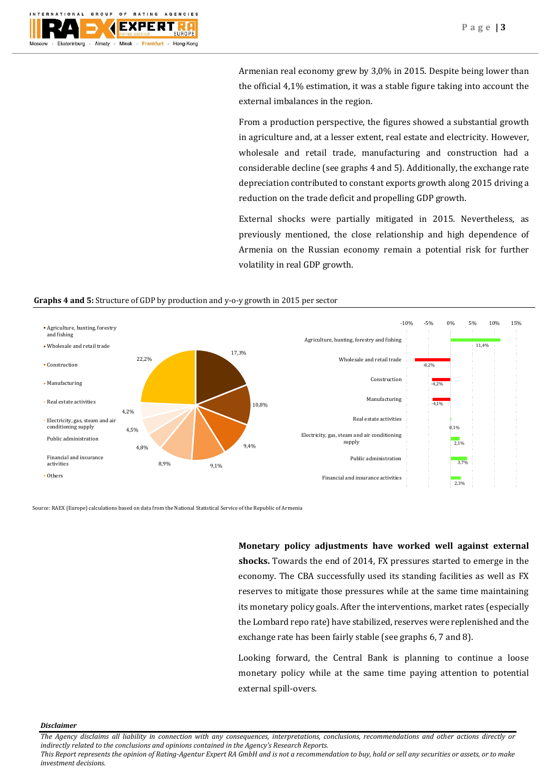

Armenian real economy grew by 3,0% in 2015. Despite being lower than the official 4,1% estimation, it was a stable figure taking into account the external imbalances in the region.

From a production perspective, the figures showed a substantial growth in agriculture and, at a lesser extent, real estate and electricity. However, wholesale and retail trade, manufacturing and construction had a considerable decline (see graphs 4 and 5). Additionally, the exchange rate depreciation contributed to constant exports growth along 2015 driving a reduction on the trade deficit and propelling GDP growth.

External shocks were partially mitigated in 2015. Nevertheless, as previously mentioned, the close relationship and high dependence of Armenia on the Russian economy remain a potential risk for further volatility in real GDP growth.

## **Graphs 4 and 5:** Structure of GDP by production and y-o-y growth in 2015 per sector



Source: RAEX (Europe) calculations based on data from the National Statistical Service of the Republic of Armenia

**Monetary policy adjustments have worked well against external shocks.** Towards the end of 2014, FX pressures started to emerge in the economy. The CBA successfully used its standing facilities as well as FX reserves to mitigate those pressures while at the same time maintaining its monetary policy goals. After the interventions, market rates (especially the Lombard repo rate) have stabilized, reserves were replenished and the exchange rate has been fairly stable (see graphs 6, 7 and 8).

Looking forward, the Central Bank is planning to continue a loose monetary policy while at the same time paying attention to potential external spill-overs.

*Disclaimer* 

*This Report represents the opinion of Rating-Agentur Expert RA GmbH and is not a recommendation to buy, hold or sell any securities or assets, or to make investment decisions.*

*The Agency disclaims all liability in connection with any consequences, interpretations, conclusions, recommendations and other actions directly or indirectly related to the conclusions and opinions contained in the Agency's Research Reports.*